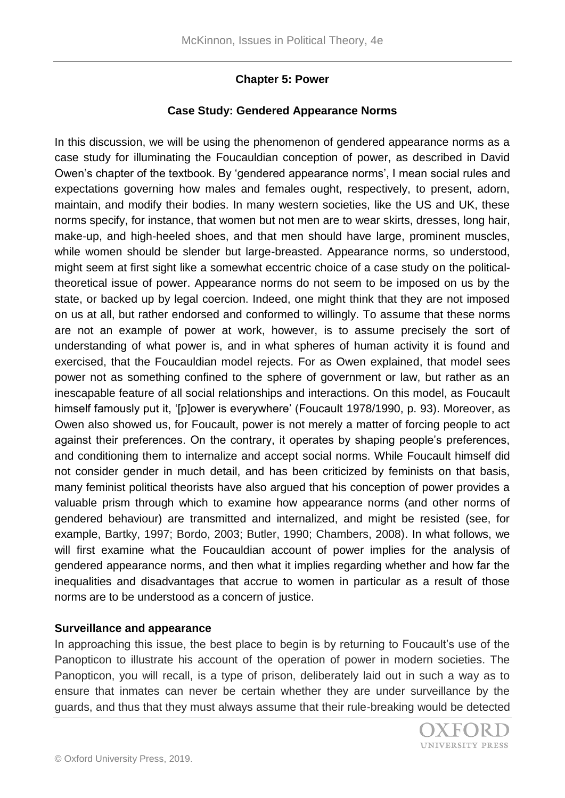# **Chapter 5: Power**

## **Case Study: Gendered Appearance Norms**

In this discussion, we will be using the phenomenon of gendered appearance norms as a case study for illuminating the Foucauldian conception of power, as described in David Owen's chapter of the textbook. By 'gendered appearance norms', I mean social rules and expectations governing how males and females ought, respectively, to present, adorn, maintain, and modify their bodies. In many western societies, like the US and UK, these norms specify, for instance, that women but not men are to wear skirts, dresses, long hair, make-up, and high-heeled shoes, and that men should have large, prominent muscles, while women should be slender but large-breasted. Appearance norms, so understood, might seem at first sight like a somewhat eccentric choice of a case study on the politicaltheoretical issue of power. Appearance norms do not seem to be imposed on us by the state, or backed up by legal coercion. Indeed, one might think that they are not imposed on us at all, but rather endorsed and conformed to willingly. To assume that these norms are not an example of power at work, however, is to assume precisely the sort of understanding of what power is, and in what spheres of human activity it is found and exercised, that the Foucauldian model rejects. For as Owen explained, that model sees power not as something confined to the sphere of government or law, but rather as an inescapable feature of all social relationships and interactions. On this model, as Foucault himself famously put it, '[p]ower is everywhere' (Foucault 1978/1990, p. 93). Moreover, as Owen also showed us, for Foucault, power is not merely a matter of forcing people to act against their preferences. On the contrary, it operates by shaping people's preferences, and conditioning them to internalize and accept social norms. While Foucault himself did not consider gender in much detail, and has been criticized by feminists on that basis, many feminist political theorists have also argued that his conception of power provides a valuable prism through which to examine how appearance norms (and other norms of gendered behaviour) are transmitted and internalized, and might be resisted (see, for example, Bartky, 1997; Bordo, 2003; Butler, 1990; Chambers, 2008). In what follows, we will first examine what the Foucauldian account of power implies for the analysis of gendered appearance norms, and then what it implies regarding whether and how far the inequalities and disadvantages that accrue to women in particular as a result of those norms are to be understood as a concern of justice.

### **Surveillance and appearance**

In approaching this issue, the best place to begin is by returning to Foucault's use of the Panopticon to illustrate his account of the operation of power in modern societies. The Panopticon, you will recall, is a type of prison, deliberately laid out in such a way as to ensure that inmates can never be certain whether they are under surveillance by the guards, and thus that they must always assume that their rule-breaking would be detected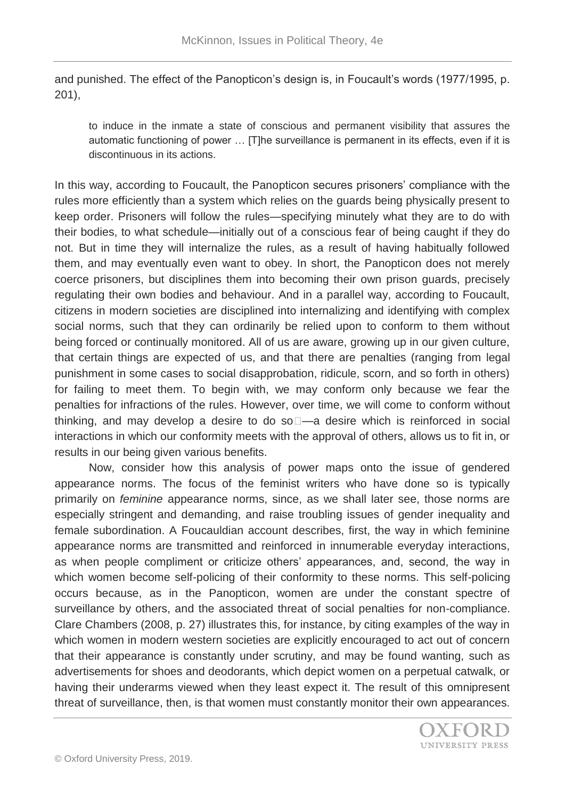and punished. The effect of the Panopticon's design is, in Foucault's words (1977/1995, p. 201),

to induce in the inmate a state of conscious and permanent visibility that assures the automatic functioning of power … [T]he surveillance is permanent in its effects, even if it is discontinuous in its actions.

In this way, according to Foucault, the Panopticon secures prisoners' compliance with the rules more efficiently than a system which relies on the guards being physically present to keep order. Prisoners will follow the rules—specifying minutely what they are to do with their bodies, to what schedule—initially out of a conscious fear of being caught if they do not. But in time they will internalize the rules, as a result of having habitually followed them, and may eventually even want to obey. In short, the Panopticon does not merely coerce prisoners, but disciplines them into becoming their own prison guards, precisely regulating their own bodies and behaviour. And in a parallel way, according to Foucault, citizens in modern societies are disciplined into internalizing and identifying with complex social norms, such that they can ordinarily be relied upon to conform to them without being forced or continually monitored. All of us are aware, growing up in our given culture, that certain things are expected of us, and that there are penalties (ranging from legal punishment in some cases to social disapprobation, ridicule, scorn, and so forth in others) for failing to meet them. To begin with, we may conform only because we fear the penalties for infractions of the rules. However, over time, we will come to conform without thinking, and may develop a desire to do so $\Box$ —a desire which is reinforced in social interactions in which our conformity meets with the approval of others, allows us to fit in, or results in our being given various benefits.

Now, consider how this analysis of power maps onto the issue of gendered appearance norms. The focus of the feminist writers who have done so is typically primarily on *feminine* appearance norms, since, as we shall later see, those norms are especially stringent and demanding, and raise troubling issues of gender inequality and female subordination. A Foucauldian account describes, first, the way in which feminine appearance norms are transmitted and reinforced in innumerable everyday interactions, as when people compliment or criticize others' appearances, and, second, the way in which women become self-policing of their conformity to these norms. This self-policing occurs because, as in the Panopticon, women are under the constant spectre of surveillance by others, and the associated threat of social penalties for non-compliance. Clare Chambers (2008, p. 27) illustrates this, for instance, by citing examples of the way in which women in modern western societies are explicitly encouraged to act out of concern that their appearance is constantly under scrutiny, and may be found wanting, such as advertisements for shoes and deodorants, which depict women on a perpetual catwalk, or having their underarms viewed when they least expect it. The result of this omnipresent threat of surveillance, then, is that women must constantly monitor their own appearances.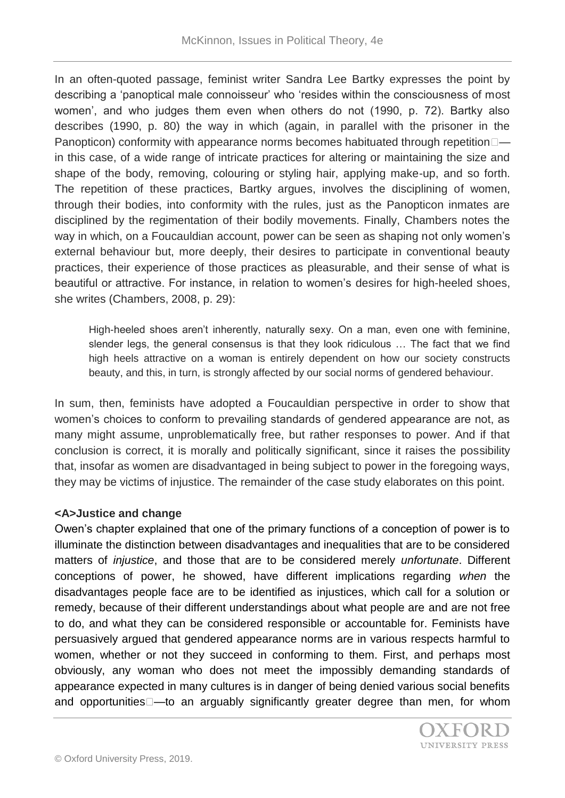In an often-quoted passage, feminist writer Sandra Lee Bartky expresses the point by describing a 'panoptical male connoisseur' who 'resides within the consciousness of most women', and who judges them even when others do not (1990, p. 72). Bartky also describes (1990, p. 80) the way in which (again, in parallel with the prisoner in the Panopticon) conformity with appearance norms becomes habituated through repetition  $\Box$  in this case, of a wide range of intricate practices for altering or maintaining the size and shape of the body, removing, colouring or styling hair, applying make-up, and so forth. The repetition of these practices, Bartky argues, involves the disciplining of women, through their bodies, into conformity with the rules, just as the Panopticon inmates are disciplined by the regimentation of their bodily movements. Finally, Chambers notes the way in which, on a Foucauldian account, power can be seen as shaping not only women's external behaviour but, more deeply, their desires to participate in conventional beauty practices, their experience of those practices as pleasurable, and their sense of what is beautiful or attractive. For instance, in relation to women's desires for high-heeled shoes, she writes (Chambers, 2008, p. 29):

High-heeled shoes aren't inherently, naturally sexy. On a man, even one with feminine, slender legs, the general consensus is that they look ridiculous … The fact that we find high heels attractive on a woman is entirely dependent on how our society constructs beauty, and this, in turn, is strongly affected by our social norms of gendered behaviour.

In sum, then, feminists have adopted a Foucauldian perspective in order to show that women's choices to conform to prevailing standards of gendered appearance are not, as many might assume, unproblematically free, but rather responses to power. And if that conclusion is correct, it is morally and politically significant, since it raises the possibility that, insofar as women are disadvantaged in being subject to power in the foregoing ways, they may be victims of injustice. The remainder of the case study elaborates on this point.

### **<A>Justice and change**

Owen's chapter explained that one of the primary functions of a conception of power is to illuminate the distinction between disadvantages and inequalities that are to be considered matters of *injustice*, and those that are to be considered merely *unfortunate*. Different conceptions of power, he showed, have different implications regarding *when* the disadvantages people face are to be identified as injustices, which call for a solution or remedy, because of their different understandings about what people are and are not free to do, and what they can be considered responsible or accountable for. Feminists have persuasively argued that gendered appearance norms are in various respects harmful to women, whether or not they succeed in conforming to them. First, and perhaps most obviously, any woman who does not meet the impossibly demanding standards of appearance expected in many cultures is in danger of being denied various social benefits and opportunities $\square$ —to an arguably significantly greater degree than men, for whom

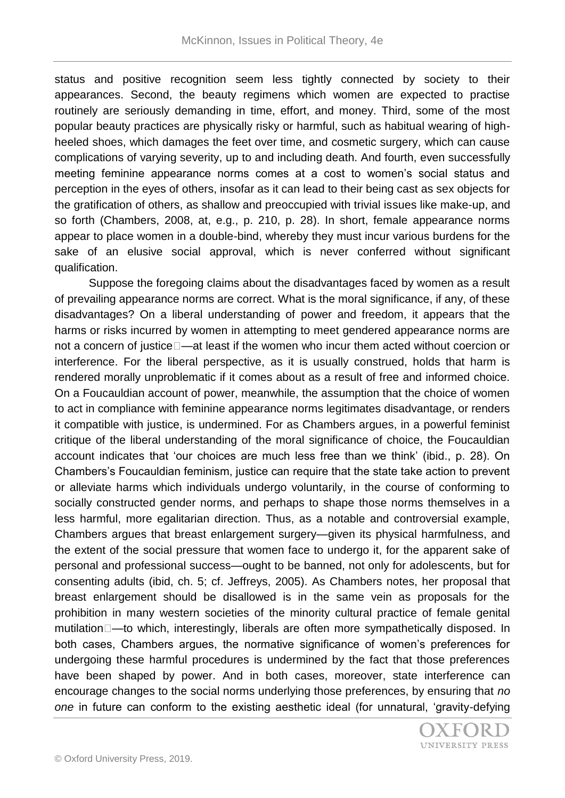status and positive recognition seem less tightly connected by society to their appearances. Second, the beauty regimens which women are expected to practise routinely are seriously demanding in time, effort, and money. Third, some of the most popular beauty practices are physically risky or harmful, such as habitual wearing of highheeled shoes, which damages the feet over time, and cosmetic surgery, which can cause complications of varying severity, up to and including death. And fourth, even successfully meeting feminine appearance norms comes at a cost to women's social status and perception in the eyes of others, insofar as it can lead to their being cast as sex objects for the gratification of others, as shallow and preoccupied with trivial issues like make-up, and so forth (Chambers, 2008, at, e.g., p. 210, p. 28). In short, female appearance norms appear to place women in a double-bind, whereby they must incur various burdens for the sake of an elusive social approval, which is never conferred without significant qualification.

Suppose the foregoing claims about the disadvantages faced by women as a result of prevailing appearance norms are correct. What is the moral significance, if any, of these disadvantages? On a liberal understanding of power and freedom, it appears that the harms or risks incurred by women in attempting to meet gendered appearance norms are not a concern of justice –at least if the women who incur them acted without coercion or interference. For the liberal perspective, as it is usually construed, holds that harm is rendered morally unproblematic if it comes about as a result of free and informed choice. On a Foucauldian account of power, meanwhile, the assumption that the choice of women to act in compliance with feminine appearance norms legitimates disadvantage, or renders it compatible with justice, is undermined. For as Chambers argues, in a powerful feminist critique of the liberal understanding of the moral significance of choice, the Foucauldian account indicates that 'our choices are much less free than we think' (ibid., p. 28). On Chambers's Foucauldian feminism, justice can require that the state take action to prevent or alleviate harms which individuals undergo voluntarily, in the course of conforming to socially constructed gender norms, and perhaps to shape those norms themselves in a less harmful, more egalitarian direction. Thus, as a notable and controversial example, Chambers argues that breast enlargement surgery—given its physical harmfulness, and the extent of the social pressure that women face to undergo it, for the apparent sake of personal and professional success—ought to be banned, not only for adolescents, but for consenting adults (ibid, ch. 5; cf. Jeffreys, 2005). As Chambers notes, her proposal that breast enlargement should be disallowed is in the same vein as proposals for the prohibition in many western societies of the minority cultural practice of female genital mutilation—to which, interestingly, liberals are often more sympathetically disposed. In both cases, Chambers argues, the normative significance of women's preferences for undergoing these harmful procedures is undermined by the fact that those preferences have been shaped by power. And in both cases, moreover, state interference can encourage changes to the social norms underlying those preferences, by ensuring that *no one* in future can conform to the existing aesthetic ideal (for unnatural, 'gravity-defying